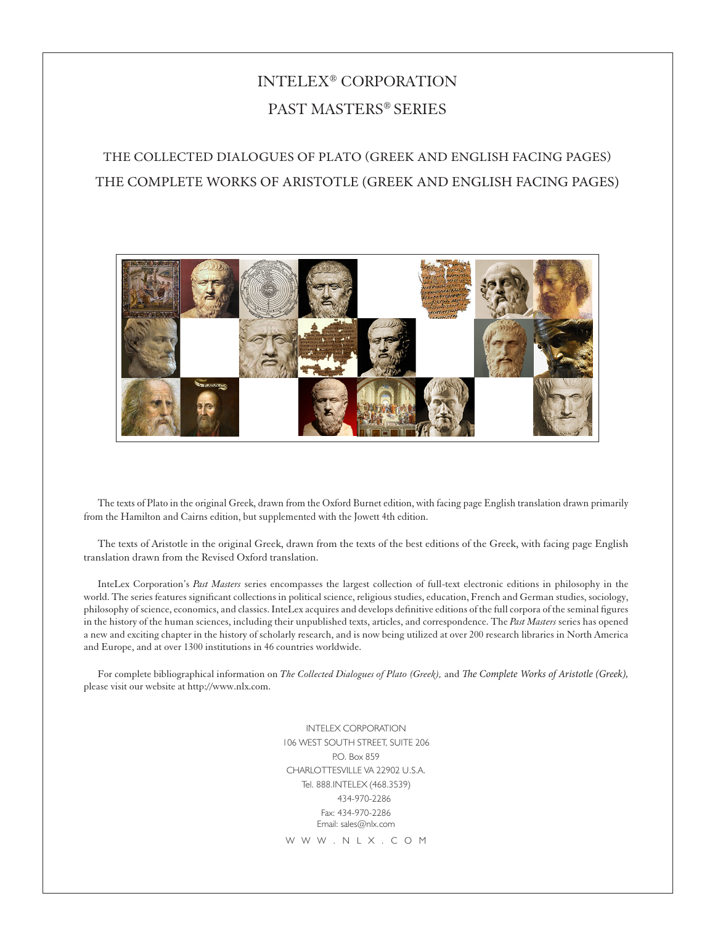# INTELEX® CORPORATION PAST MASTERS® SERIES

## THE COLLECTED DIALOGUES OF PLATO (GREEK AND ENGLISH FACING PAGES) THE COMPLETE WORKS OF ARISTOTLE (GREEK AND ENGLISH FACING PAGES)



The texts of Plato in the original Greek, drawn from the Oxford Burnet edition, with facing page English translation drawn primarily from the Hamilton and Cairns edition, but supplemented with the Jowett 4th edition.

The texts of Aristotle in the original Greek, drawn from the texts of the best editions of the Greek, with facing page English translation drawn from the Revised Oxford translation.

InteLex Corporation's *Past Masters* series encompasses the largest collection of full-text electronic editions in philosophy in the world. The series features significant collections in political science, religious studies, education, French and German studies, sociology, philosophy of science, economics, and classics. InteLex acquires and develops definitive editions of the full corpora of the seminal figures in the history of the human sciences, including their unpublished texts, articles, and correspondence. The *Past Masters* series has opened a new and exciting chapter in the history of scholarly research, and is now being utilized at over 200 research libraries in North America and Europe, and at over 1300 institutions in 46 countries worldwide.

For complete bibliographical information on *The Collected Dialogues of Plato (Greek),* and *The Complete Works of Aristotle (Greek),*  please visit our website at http://www.nlx.com.

> INTELEX CORPORATION 106 WEST SOUTH STREET, SUITE 206 P.O. Box 859 CHARLOTTESVILLE VA 22902 U.S.A. Tel. 888.INTELEX (468.3539) 434-970-2286 Fax: 434-970-2286 Email: sales@nlx.com W W W . N L X . C O M